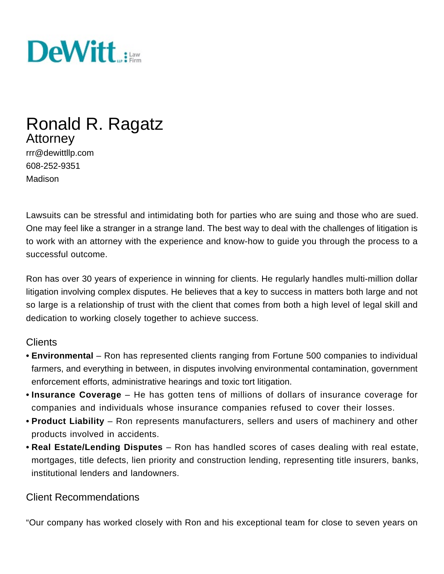

# Ronald R. Ragatz Attorney

rrr@dewittllp.com 608-252-9351 Madison

Lawsuits can be stressful and intimidating both for parties who are suing and those who are sued. One may feel like a stranger in a strange land. The best way to deal with the challenges of litigation is to work with an attorney with the experience and know-how to guide you through the process to a successful outcome.

Ron has over 30 years of experience in winning for clients. He regularly handles multi-million dollar litigation involving complex disputes. He believes that a key to success in matters both large and not so large is a relationship of trust with the client that comes from both a high level of legal skill and dedication to working closely together to achieve success.

## **Clients**

- **• Environmental** Ron has represented clients ranging from Fortune 500 companies to individual farmers, and everything in between, in disputes involving environmental contamination, government enforcement efforts, administrative hearings and toxic tort litigation.
- **• Insurance Coverage** He has gotten tens of millions of dollars of insurance coverage for companies and individuals whose insurance companies refused to cover their losses.
- **• Product Liability** Ron represents manufacturers, sellers and users of machinery and other products involved in accidents.
- **• Real Estate/Lending Disputes** Ron has handled scores of cases dealing with real estate, mortgages, title defects, lien priority and construction lending, representing title insurers, banks, institutional lenders and landowners.

# Client Recommendations

"Our company has worked closely with Ron and his exceptional team for close to seven years on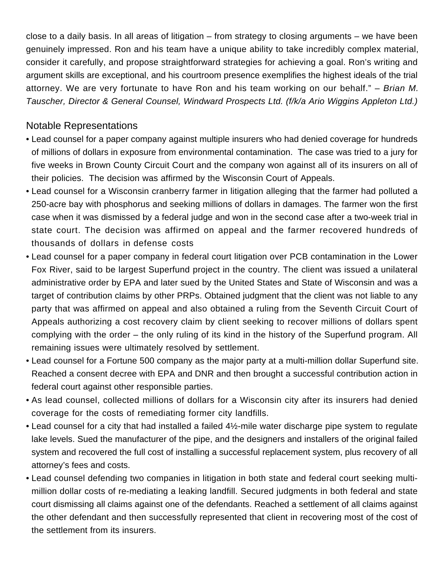close to a daily basis. In all areas of litigation – from strategy to closing arguments – we have been genuinely impressed. Ron and his team have a unique ability to take incredibly complex material, consider it carefully, and propose straightforward strategies for achieving a goal. Ron's writing and argument skills are exceptional, and his courtroom presence exemplifies the highest ideals of the trial attorney. We are very fortunate to have Ron and his team working on our behalf." – Brian M. Tauscher, Director & General Counsel, Windward Prospects Ltd. (f/k/a Ario Wiggins Appleton Ltd.)

# Notable Representations

- Lead counsel for a paper company against multiple insurers who had denied coverage for hundreds of millions of dollars in exposure from environmental contamination. The case was tried to a jury for five weeks in Brown County Circuit Court and the company won against all of its insurers on all of their policies. The decision was affirmed by the Wisconsin Court of Appeals.
- Lead counsel for a Wisconsin cranberry farmer in litigation alleging that the farmer had polluted a 250-acre bay with phosphorus and seeking millions of dollars in damages. The farmer won the first case when it was dismissed by a federal judge and won in the second case after a two-week trial in state court. The decision was affirmed on appeal and the farmer recovered hundreds of thousands of dollars in defense costs
- Lead counsel for a paper company in federal court litigation over PCB contamination in the Lower Fox River, said to be largest Superfund project in the country. The client was issued a unilateral administrative order by EPA and later sued by the United States and State of Wisconsin and was a target of contribution claims by other PRPs. Obtained judgment that the client was not liable to any party that was affirmed on appeal and also obtained a ruling from the Seventh Circuit Court of Appeals authorizing a cost recovery claim by client seeking to recover millions of dollars spent complying with the order – the only ruling of its kind in the history of the Superfund program. All remaining issues were ultimately resolved by settlement.
- Lead counsel for a Fortune 500 company as the major party at a multi-million dollar Superfund site. Reached a consent decree with EPA and DNR and then brought a successful contribution action in federal court against other responsible parties.
- As lead counsel, collected millions of dollars for a Wisconsin city after its insurers had denied coverage for the costs of remediating former city landfills.
- Lead counsel for a city that had installed a failed 4½-mile water discharge pipe system to regulate lake levels. Sued the manufacturer of the pipe, and the designers and installers of the original failed system and recovered the full cost of installing a successful replacement system, plus recovery of all attorney's fees and costs.
- Lead counsel defending two companies in litigation in both state and federal court seeking multimillion dollar costs of re-mediating a leaking landfill. Secured judgments in both federal and state court dismissing all claims against one of the defendants. Reached a settlement of all claims against the other defendant and then successfully represented that client in recovering most of the cost of the settlement from its insurers.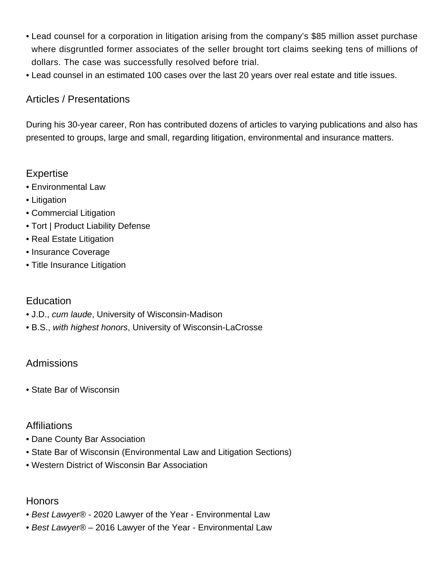- Lead counsel for a corporation in litigation arising from the company's \$85 million asset purchase where disgruntled former associates of the seller brought tort claims seeking tens of millions of dollars. The case was successfully resolved before trial.
- Lead counsel in an estimated 100 cases over the last 20 years over real estate and title issues.

## Articles / Presentations

During his 30-year career, Ron has contributed dozens of articles to varying publications and also has presented to groups, large and small, regarding litigation, environmental and insurance matters.

# Expertise

- [Environmental Law](http://dewittllp.com/expertise/environmental-law)
- [Litigation](http://dewittllp.com/expertise/litigation)
- Commercial Litigation
- Tort | Product Liability Defense
- Real Estate Litigation
- Insurance Coverage
- [Title Insurance Litigation](http://dewittllp.com/expertise/title-insurance-litigation)

# **Education**

- J.D., cum laude, University of Wisconsin-Madison
- B.S., with highest honors, University of Wisconsin-LaCrosse

## Admissions

• State Bar of Wisconsin

## **Affiliations**

- Dane County Bar Association
- State Bar of Wisconsin (Environmental Law and Litigation Sections)
- Western District of Wisconsin Bar Association

## Honors

- Best Lawyer® 2020 Lawyer of the Year Environmental Law
- Best Lawyer® 2016 Lawyer of the Year Environmental Law